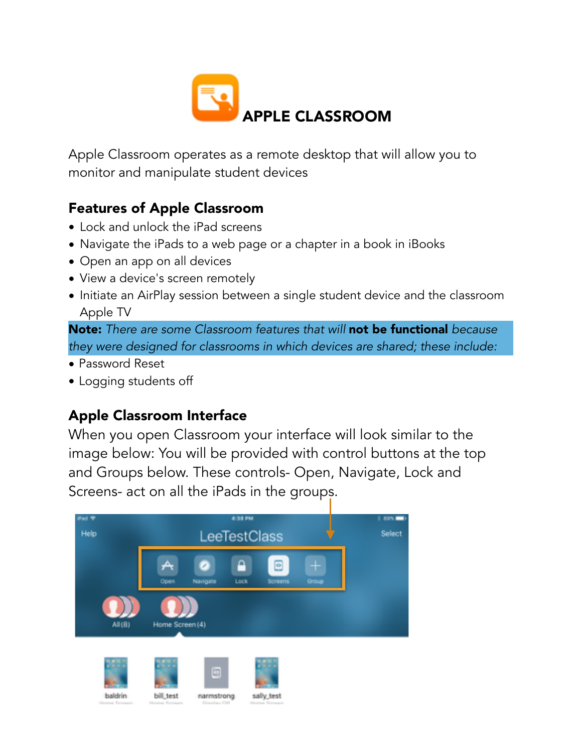

Apple Classroom operates as a remote desktop that will allow you to monitor and manipulate student devices

# Features of Apple Classroom

- Lock and unlock the iPad screens
- Navigate the iPads to a web page or a chapter in a book in iBooks
- Open an app on all devices
- View a device's screen remotely
- Initiate an AirPlay session between a single student device and the classroom Apple TV

Note: *There are some Classroom features that will* not be functional *because they were designed for classrooms in which devices are shared; these include:* 

- Password Reset
- Logging students off

# Apple Classroom Interface

When you open Classroom your interface will look similar to the image below: You will be provided with control buttons at the top and Groups below. These controls- Open, Navigate, Lock and Screens- act on all the iPads in the groups.

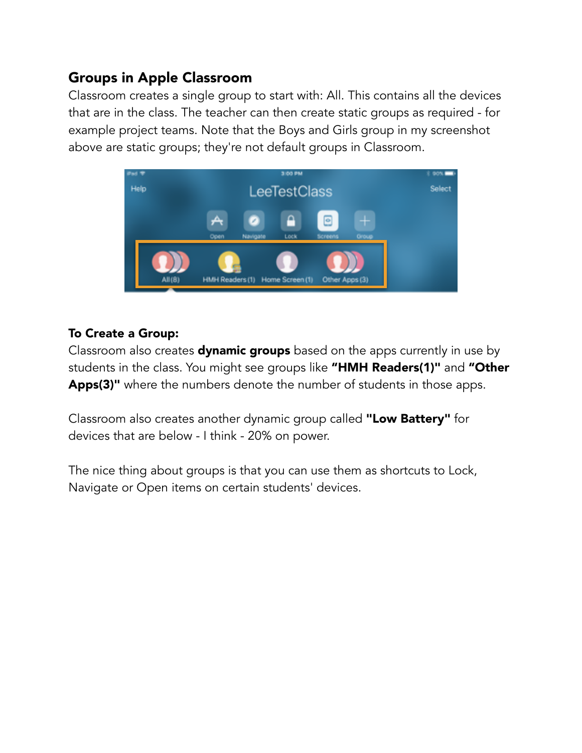# Groups in Apple Classroom

Classroom creates a single group to start with: All. This contains all the devices that are in the class. The teacher can then create static groups as required - for example project teams. Note that the Boys and Girls group in my screenshot above are static groups; they're not default groups in Classroom.



#### To Create a Group:

Classroom also creates **dynamic groups** based on the apps currently in use by students in the class. You might see groups like "HMH Readers(1)" and "Other Apps(3)" where the numbers denote the number of students in those apps.

Classroom also creates another dynamic group called "Low Battery" for devices that are below - I think - 20% on power.

The nice thing about groups is that you can use them as shortcuts to Lock, Navigate or Open items on certain students' devices.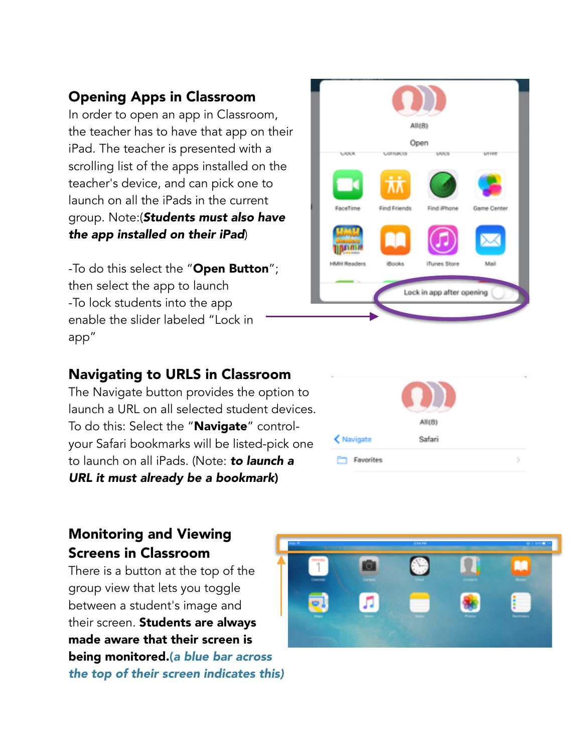# Opening Apps in Classroom

In order to open an app in Classroom, the teacher has to have that app on their iPad. The teacher is presented with a scrolling list of the apps installed on the teacher's device, and can pick one to launch on all the iPads in the current group. Note:(*Students must also have the app installed on their iPad*)

-To do this select the "**Open Button**"; then select the app to launch -To lock students into the app enable the slider labeled "Lock in app"

#### Navigating to URLS in Classroom

The Navigate button provides the option to launch a URL on all selected student devices. To do this: Select the "Navigate" controlyour Safari bookmarks will be listed-pick one to launch on all iPads. (Note: *to launch a URL it must already be a bookmark*)

#### Monitoring and Viewing Screens in Classroom

There is a button at the top of the group view that lets you toggle between a student's image and their screen. Students are always made aware that their screen is being monitored.(*a blue bar across the top of their screen indicates this)*